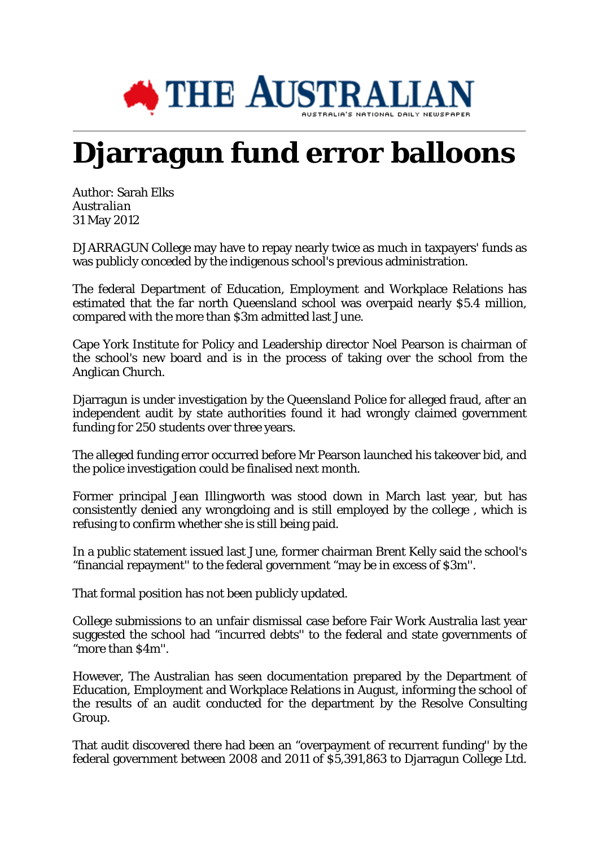

## **Djarragun fund error balloons**

Author: Sarah Elks *Australian* 31 May 2012

DJARRAGUN College may have to repay nearly twice as much in taxpayers' funds as was publicly conceded by the indigenous school's previous administration.

The federal Department of Education, Employment and Workplace Relations has estimated that the far north Queensland school was overpaid nearly \$5.4 million, compared with the more than \$3m admitted last June.

Cape York Institute for Policy and Leadership director Noel Pearson is chairman of the school's new board and is in the process of taking over the school from the Anglican Church.

Djarragun is under investigation by the Queensland Police for alleged fraud, after an independent audit by state authorities found it had wrongly claimed government funding for 250 students over three years.

The alleged funding error occurred before Mr Pearson launched his takeover bid, and the police investigation could be finalised next month.

Former principal Jean Illingworth was stood down in March last year, but has consistently denied any wrongdoing and is still employed by the college , which is refusing to confirm whether she is still being paid.

In a public statement issued last June, former chairman Brent Kelly said the school's "financial repayment'' to the federal government "may be in excess of \$3m''.

That formal position has not been publicly updated.

College submissions to an unfair dismissal case before Fair Work Australia last year suggested the school had "incurred debts'' to the federal and state governments of "more than \$4m''.

However, The Australian has seen documentation prepared by the Department of Education, Employment and Workplace Relations in August, informing the school of the results of an audit conducted for the department by the Resolve Consulting Group.

That audit discovered there had been an "overpayment of recurrent funding'' by the federal government between 2008 and 2011 of \$5,391,863 to Djarragun College Ltd.